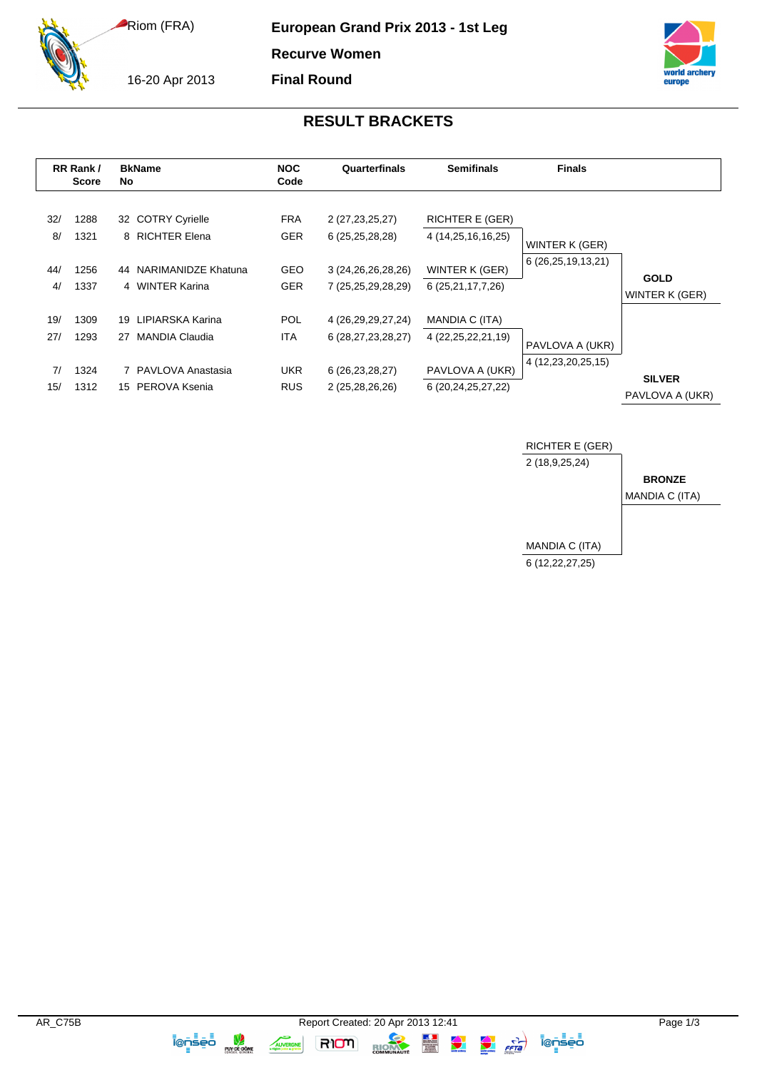Riom (FRA)

16-20 Apr 2013

**European Grand Prix 2013 - 1st Leg**

**Recurve Women**

**Final Round**



## **RESULT BRACKETS**

| RR Rank /<br><b>Score</b> |                              | <b>BkName</b><br>No                                                                    | <b>NOC</b><br>Code                                   | Quarterfinals                                                                         | <b>Semifinals</b>                                                                       | <b>Finals</b>                         |                                  |
|---------------------------|------------------------------|----------------------------------------------------------------------------------------|------------------------------------------------------|---------------------------------------------------------------------------------------|-----------------------------------------------------------------------------------------|---------------------------------------|----------------------------------|
| 32/<br>8/<br>44/<br>4/    | 1288<br>1321<br>1256<br>1337 | 32 COTRY Cyrielle<br>8 RICHTER Elena<br>NARIMANIDZE Khatuna<br>44<br>4 WINTER Karina   | <b>FRA</b><br><b>GER</b><br><b>GEO</b><br><b>GER</b> | 2 (27, 23, 25, 27)<br>6(25,25,28,28)<br>3 (24, 26, 26, 28, 26)<br>7 (25,25,29,28,29)  | <b>RICHTER E (GER)</b><br>4 (14,25,16,16,25)<br>WINTER K (GER)<br>6 (25, 21, 17, 7, 26) | WINTER K (GER)<br>6 (26,25,19,13,21)  | <b>GOLD</b><br>WINTER K (GER)    |
| 19/<br>27/<br>7/<br>15/   | 1309<br>1293<br>1324<br>1312 | 19 LIPIARSKA Karina<br>MANDIA Claudia<br>27<br>7 PAVLOVA Anastasia<br>15 PEROVA Ksenia | <b>POL</b><br>ITA.<br><b>UKR</b><br><b>RUS</b>       | 4 (26, 29, 29, 27, 24)<br>6 (28,27,23,28,27)<br>6 (26, 23, 28, 27)<br>2 (25,28,26,26) | MANDIA C (ITA)<br>4 (22, 25, 22, 21, 19)<br>PAVLOVA A (UKR)<br>6 (20,24,25,27,22)       | PAVLOVA A (UKR)<br>4 (12,23,20,25,15) | <b>SILVER</b><br>PAVLOVA A (UKR) |



**TOTSED** 

**RIOM** 

RIOM

AUVERGNE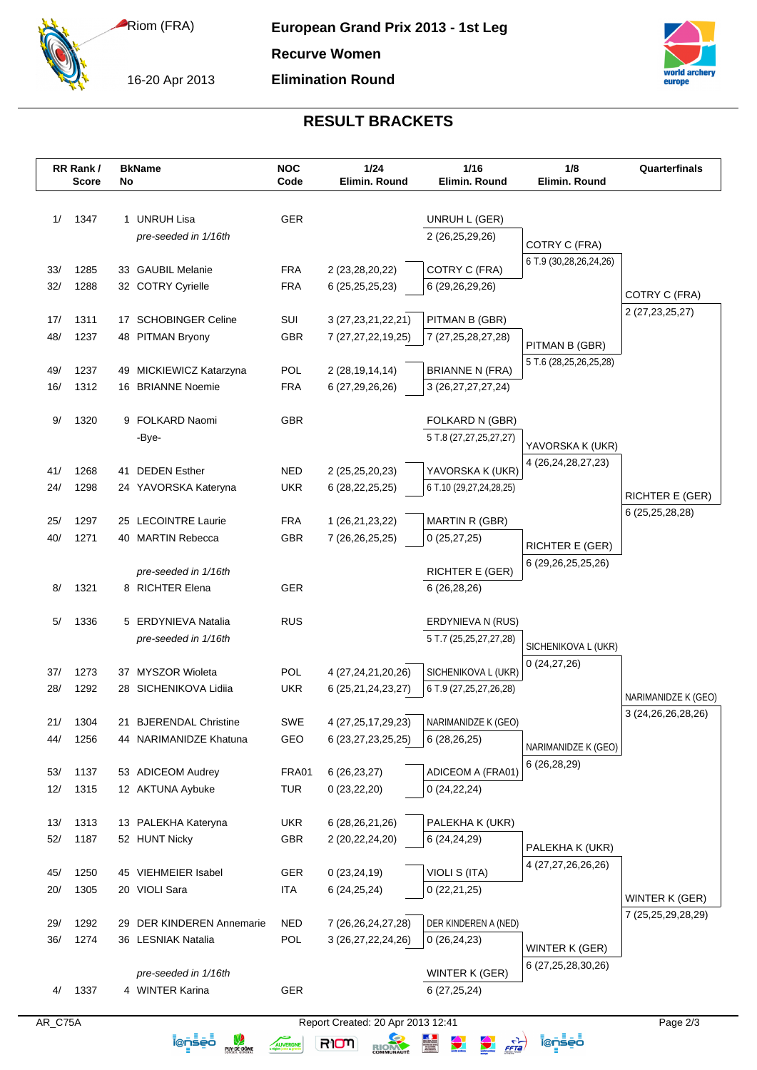Riom (FRA)

16-20 Apr 2013

**Recurve Women**





## **RESULT BRACKETS**

|            | RR Rank/<br><b>Score</b> | No | <b>BkName</b>                                    | <b>NOC</b><br>Code       | 1/24<br>Elimin. Round             | 1/16<br>Elimin. Round               | 1/8<br>Elimin. Round                       | Quarterfinals                        |
|------------|--------------------------|----|--------------------------------------------------|--------------------------|-----------------------------------|-------------------------------------|--------------------------------------------|--------------------------------------|
|            |                          |    |                                                  |                          |                                   |                                     |                                            |                                      |
| 1/         | 1347                     |    | 1 UNRUH Lisa                                     | GER                      |                                   | UNRUH L (GER)                       |                                            |                                      |
|            |                          |    | pre-seeded in 1/16th                             |                          |                                   | 2 (26,25,29,26)                     | COTRY C (FRA)                              |                                      |
|            |                          |    |                                                  |                          |                                   |                                     | 6 T.9 (30,28,26,24,26)                     |                                      |
| 33/<br>32/ | 1285<br>1288             |    | 33 GAUBIL Melanie<br>32 COTRY Cyrielle           | <b>FRA</b><br><b>FRA</b> | 2 (23,28,20,22)                   | COTRY C (FRA)<br>6 (29,26,29,26)    |                                            |                                      |
|            |                          |    |                                                  |                          | 6 (25, 25, 25, 23)                |                                     |                                            | COTRY C (FRA)                        |
| 17/        | 1311                     |    | 17 SCHOBINGER Celine                             | SUI                      | 3 (27, 23, 21, 22, 21)            | PITMAN B (GBR)                      |                                            | 2 (27, 23, 25, 27)                   |
| 48/        | 1237                     |    | 48 PITMAN Bryony                                 | <b>GBR</b>               | 7 (27,27,22,19,25)                | 7 (27,25,28,27,28)                  | PITMAN B (GBR)                             |                                      |
|            |                          |    |                                                  |                          |                                   |                                     | 5 T.6 (28,25,26,25,28)                     |                                      |
| 49/        | 1237                     |    | 49 MICKIEWICZ Katarzyna                          | <b>POL</b>               | 2 (28, 19, 14, 14)                | <b>BRIANNE N (FRA)</b>              |                                            |                                      |
| 16/        | 1312                     |    | 16 BRIANNE Noemie                                | <b>FRA</b>               | 6 (27, 29, 26, 26)                | 3 (26, 27, 27, 27, 24)              |                                            |                                      |
| 9/         | 1320                     |    | 9 FOLKARD Naomi                                  | <b>GBR</b>               |                                   | FOLKARD N (GBR)                     |                                            |                                      |
|            |                          |    | -Bye-                                            |                          |                                   | 5 T.8 (27,27,25,27,27)              |                                            |                                      |
|            |                          |    |                                                  |                          |                                   |                                     | YAVORSKA K (UKR)<br>4 (26, 24, 28, 27, 23) |                                      |
| 41/        | 1268                     |    | 41 DEDEN Esther                                  | <b>NED</b>               | 2 (25,25,20,23)                   | YAVORSKA K (UKR)                    |                                            |                                      |
| 24/        | 1298                     |    | 24 YAVORSKA Kateryna                             | <b>UKR</b>               | 6 (28, 22, 25, 25)                | 6 T.10 (29,27,24,28,25)             |                                            | <b>RICHTER E (GER)</b>               |
| 25/        | 1297                     |    | 25 LECOINTRE Laurie                              | <b>FRA</b>               | 1 (26,21,23,22)                   | MARTIN R (GBR)                      |                                            | 6 (25,25,28,28)                      |
| 40/        | 1271                     |    | 40 MARTIN Rebecca                                | <b>GBR</b>               | 7 (26,26,25,25)                   | 0(25, 27, 25)                       |                                            |                                      |
|            |                          |    |                                                  |                          |                                   |                                     | <b>RICHTER E (GER)</b>                     |                                      |
|            |                          |    | pre-seeded in 1/16th                             |                          |                                   | <b>RICHTER E (GER)</b>              | 6 (29,26,25,25,26)                         |                                      |
| 8/         | 1321                     |    | 8 RICHTER Elena                                  | <b>GER</b>               |                                   | 6(26, 28, 26)                       |                                            |                                      |
| 5/         | 1336                     |    | 5 ERDYNIEVA Natalia                              | <b>RUS</b>               |                                   | ERDYNIEVA N (RUS)                   |                                            |                                      |
|            |                          |    | pre-seeded in 1/16th                             |                          |                                   | 5 T.7 (25,25,27,27,28)              |                                            |                                      |
|            |                          |    |                                                  |                          |                                   |                                     | SICHENIKOVA L (UKR)                        |                                      |
| 37/        | 1273                     |    | 37 MYSZOR Wioleta                                | POL                      | 4 (27,24,21,20,26)                | SICHENIKOVA L (UKR)                 | 0(24, 27, 26)                              |                                      |
| 28/        | 1292                     |    | 28 SICHENIKOVA Lidiia                            | <b>UKR</b>               | 6 (25, 21, 24, 23, 27)            | 6 T.9 (27, 25, 27, 26, 28)          |                                            | NARIMANIDZE K (GEO)                  |
|            |                          |    |                                                  |                          |                                   |                                     |                                            | 3 (24, 26, 26, 28, 26)               |
| 21/<br>44/ | 1304<br>1256             |    | 21 BJERENDAL Christine<br>44 NARIMANIDZE Khatuna | <b>SWE</b><br>GEO        | 4 (27, 25, 17, 29, 23)            | NARIMANIDZE K (GEO)<br>6 (28,26,25) |                                            |                                      |
|            |                          |    |                                                  |                          | 6 (23, 27, 23, 25, 25)            |                                     | NARIMANIDZE K (GEO)                        |                                      |
| 53/        | 1137                     |    | 53 ADICEOM Audrey                                | FRA01                    | 6(26, 23, 27)                     | ADICEOM A (FRA01)                   | 6 (26,28,29)                               |                                      |
| 12/        | 1315                     |    | 12 AKTUNA Aybuke                                 | <b>TUR</b>               | 0(23, 22, 20)                     | 0(24, 22, 24)                       |                                            |                                      |
|            |                          |    |                                                  |                          |                                   |                                     |                                            |                                      |
| 13/        | 1313                     |    | 13 PALEKHA Kateryna                              | <b>UKR</b>               | 6 (28, 26, 21, 26)                | PALEKHA K (UKR)                     |                                            |                                      |
| 52/        | 1187                     |    | 52 HUNT Nicky                                    | GBR                      | 2 (20,22,24,20)                   | 6 (24,24,29)                        | PALEKHA K (UKR)                            |                                      |
| 45/        | 1250                     |    | 45 VIEHMEIER Isabel                              | <b>GER</b>               | 0(23, 24, 19)                     | VIOLI S (ITA)                       | 4 (27,27,26,26,26)                         |                                      |
| 20/        | 1305                     |    | 20 VIOLI Sara                                    | <b>ITA</b>               | 6(24, 25, 24)                     | 0(22,21,25)                         |                                            |                                      |
|            |                          |    |                                                  |                          |                                   |                                     |                                            | WINTER K (GER)<br>7 (25,25,29,28,29) |
| 29/        | 1292                     |    | 29 DER KINDEREN Annemarie                        | <b>NED</b>               | 7 (26, 26, 24, 27, 28)            | DER KINDEREN A (NED)                |                                            |                                      |
| 36/        | 1274                     |    | 36 LESNIAK Natalia                               | POL                      | 3 (26,27,22,24,26)                | 0(26, 24, 23)                       | WINTER K (GER)                             |                                      |
|            |                          |    |                                                  |                          |                                   |                                     | 6 (27, 25, 28, 30, 26)                     |                                      |
| 4/         | 1337                     |    | pre-seeded in 1/16th<br>4 WINTER Karina          | GER                      |                                   | WINTER K (GER)<br>6(27,25,24)       |                                            |                                      |
|            |                          |    |                                                  |                          |                                   |                                     |                                            |                                      |
| AR_C75A    |                          |    |                                                  |                          | Report Created: 20 Apr 2013 12:41 |                                     |                                            | Page 2/3                             |